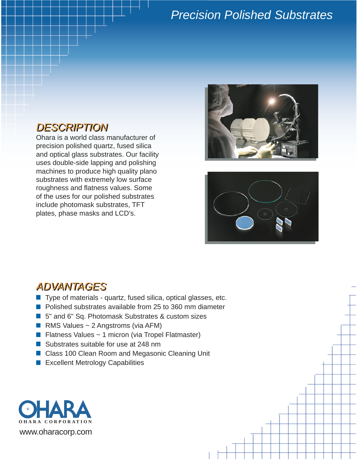# *Precision Polished Substrates*

## *DESCRIPTION*

Ohara is a world class manufacturer of precision polished quartz, fused silica and optical glass substrates. Our facility uses double-side lapping and polishing machines to produce high quality plano substrates with extremely low surface roughness and flatness values. Some of the uses for our polished substrates include photomask substrates, TFT plates, phase masks and LCD's.





#### *ADVANTAGES*

- $\blacksquare$  Type of materials quartz, fused silica, optical glasses, etc.
- **Polished substrates available from 25 to 360 mm diameter**
- 5" and 6" Sq. Photomask Substrates & custom sizes
- RMS Values  $\sim$  2 Angstroms (via AFM)
- **Flatness Values ~ 1 micron (via Tropel Flatmaster)**
- Substrates suitable for use at 248 nm
- Class 100 Clean Room and Megasonic Cleaning Unit
- **Excellent Metrology Capabilities**